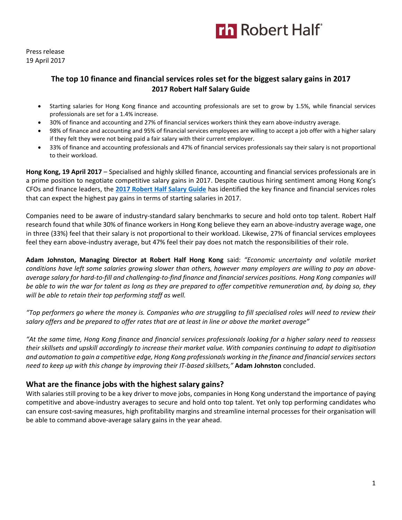Press release 19 April 2017

### **The top 10 finance and financial services roles set for the biggest salary gains in 2017 2017 Robert Half Salary Guide**

- Starting salaries for Hong Kong finance and accounting professionals are set to grow by 1.5%, while financial services professionals are set for a 1.4% increase.
- 30% of finance and accounting and 27% of financial services workers think they earn above-industry average.
- 98% of finance and accounting and 95% of financial services employees are willing to accept a job offer with a higher salary if they felt they were not being paid a fair salary with their current employer.
- 33% of finance and accounting professionals and 47% of financial services professionals say their salary is not proportional to their workload.

**Hong Kong, 19 April 2017** – Specialised and highly skilled finance, accounting and financial services professionals are in a prime position to negotiate competitive salary gains in 2017. Despite cautious hiring sentiment among Hong Kong's CFOs and finance leaders, the **[2017 Robert Half Salary Guide](https://www.roberthalf.com.hk/salary-guide?utm_source=roberthalf&utm_medium=pressrelease&utm_campaign=rh-all-salaryguide2017-apr2017)** has identified the key finance and financial services roles that can expect the highest pay gains in terms of starting salaries in 2017.

Companies need to be aware of industry-standard salary benchmarks to secure and hold onto top talent. Robert Half research found that while 30% of finance workers in Hong Kong believe they earn an above-industry average wage, one in three (33%) feel that their salary is not proportional to their workload. Likewise, 27% of financial services employees feel they earn above-industry average, but 47% feel their pay does not match the responsibilities of their role.

**Adam Johnston, Managing Director at Robert Half Hong Kong** said: *"Economic uncertainty and volatile market conditions have left some salaries growing slower than others, however many employers are willing to pay an aboveaverage salary for hard-to-fill and challenging-to-find finance and financial services positions. Hong Kong companies will be able to win the war for talent as long as they are prepared to offer competitive remuneration and, by doing so, they will be able to retain their top performing staff as well.* 

*"Top performers go where the money is. Companies who are struggling to fill specialised roles will need to review their salary offers and be prepared to offer rates that are at least in line or above the market average"*

*"At the same time, Hong Kong finance and financial services professionals looking for a higher salary need to reassess their skillsets and upskill accordingly to increase their market value. With companies continuing to adapt to digitisation*  and automation to gain a competitive edge, Hong Kong professionals working in the finance and financial services sectors *need to keep up with this change by improving their IT-based skillsets,"* **Adam Johnston** concluded.

### **What are the finance jobs with the highest salary gains?**

With salaries still proving to be a key driver to move jobs, companies in Hong Kong understand the importance of paying competitive and above-industry averages to secure and hold onto top talent. Yet only top performing candidates who can ensure cost-saving measures, high profitability margins and streamline internal processes for their organisation will be able to command above-average salary gains in the year ahead.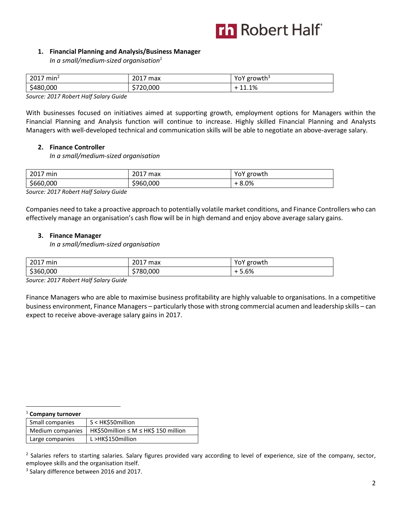### **1. Financial Planning and Analysis/Business Manager**

*In a small/medium-sized organisation<sup>1</sup>*

| 2017<br>min <sup>2</sup> | 2017<br>max<br>∠∪⊥7 | growth <sup>3</sup><br>ו שו |
|--------------------------|---------------------|-----------------------------|
| \$480,000                | 720,000<br>້        | 11.1%                       |

*Source: 2017 Robert Half Salary Guide*

With businesses focused on initiatives aimed at supporting growth, employment options for Managers within the Financial Planning and Analysis function will continue to increase. Highly skilled Financial Planning and Analysts Managers with well-developed technical and communication skills will be able to negotiate an above-average salary.

### **2. Finance Controller**

*In a small/medium-sized organisation* 

| 2017<br>min | 2017<br>max | ' growth<br>. .<br>TUT |
|-------------|-------------|------------------------|
| \$660,000   | \$960,000   | 8.0%                   |

*Source: 2017 Robert Half Salary Guide*

Companies need to take a proactive approach to potentially volatile market conditions, and Finance Controllers who can effectively manage an organisation's cash flow will be in high demand and enjoy above average salary gains.

### **3. Finance Manager**

*In a small/medium-sized organisation* 

| 2017<br>' min | 2017<br>max | YoY growth |
|---------------|-------------|------------|
| \$360,000     | \$780,000   | 5.6%       |

*Source: 2017 Robert Half Salary Guide*

Finance Managers who are able to maximise business profitability are highly valuable to organisations. In a competitive business environment, Finance Managers – particularly those with strong commercial acumen and leadership skills – can expect to receive above-average salary gains in 2017.

| $1$ Company turnover |                                      |
|----------------------|--------------------------------------|
| Small companies      | S < HK\$50million                    |
| Medium companies     | HK\$50million ≤ M ≤ HK\$ 150 million |
| Large companies      | L >HK\$150million                    |

<sup>2</sup> Salaries refers to starting salaries. Salary figures provided vary according to level of experience, size of the company, sector, employee skills and the organisation itself.

<sup>3</sup> Salary difference between 2016 and 2017.

 $\overline{a}$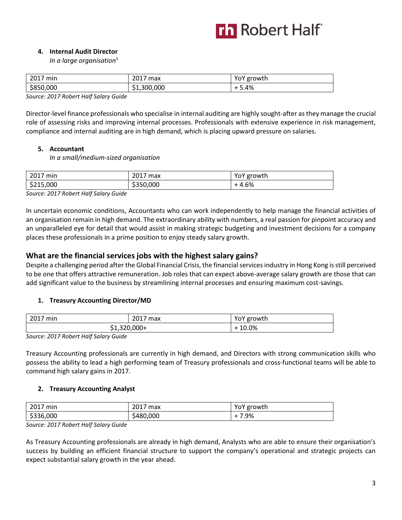### **4. Internal Audit Director**

*In a large organisation*<sup>1</sup>

| 2017      | 2017        | YoY    |
|-----------|-------------|--------|
| min       | max         | growth |
| \$850,000 | \$1,300,000 | 5.4%   |

*Source: 2017 Robert Half Salary Guide*

Director-level finance professionals who specialise in internal auditing are highly sought-after as they manage the crucial role of assessing risks and improving internal processes. Professionals with extensive experience in risk management, compliance and internal auditing are in high demand, which is placing upward pressure on salaries.

### **5. Accountant**

*In a small/medium-sized organisation* 

| 2017 min  | 2017<br>' max | YoY growth |
|-----------|---------------|------------|
| \$215,000 | \$350,000     | $-4.6%$    |

*Source: 2017 Robert Half Salary Guide*

In uncertain economic conditions, Accountants who can work independently to help manage the financial activities of an organisation remain in high demand. The extraordinary ability with numbers, a real passion for pinpoint accuracy and an unparalleled eye for detail that would assist in making strategic budgeting and investment decisions for a company places these professionals in a prime position to enjoy steady salary growth.

### **What are the financial services jobs with the highest salary gains?**

Despite a challenging period after the Global Financial Crisis, the financial services industry in Hong Kong is still perceived to be one that offers attractive remuneration. Job roles that can expect above-average salary growth are those that can add significant value to the business by streamlining internal processes and ensuring maximum cost-savings.

### **1. Treasury Accounting Director/MD**

| 2017<br>' min | 2017 max    | YoY growth |
|---------------|-------------|------------|
|               | +1,320,000, | 10.0%      |

*Source: 2017 Robert Half Salary Guide*

Treasury Accounting professionals are currently in high demand, and Directors with strong communication skills who possess the ability to lead a high performing team of Treasury professionals and cross-functional teams will be able to command high salary gains in 2017.

### **2. Treasury Accounting Analyst**

| 2017<br>min<br>ZUI,         | 2017<br>max<br>2017 | growth<br>υī |
|-----------------------------|---------------------|--------------|
| ,000<br>cooc<br>3h.<br>しつつし | ,000<br>480ء        | '.9%         |

*Source: 2017 Robert Half Salary Guide*

As Treasury Accounting professionals are already in high demand, Analysts who are able to ensure their organisation's success by building an efficient financial structure to support the company's operational and strategic projects can expect substantial salary growth in the year ahead.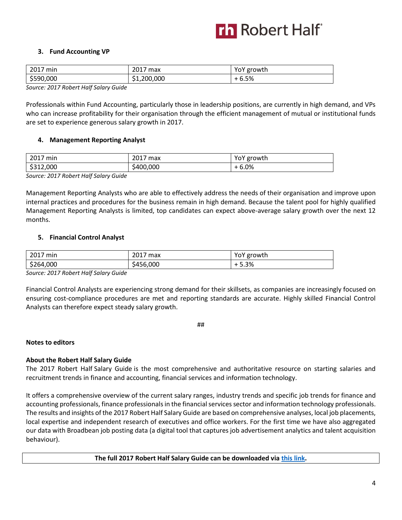### **3. Fund Accounting VP**

| 2017 min        | 2017<br>max | YoY growth |
|-----------------|-------------|------------|
| \$590,000       | \$1,200,000 | - 6.5%     |
| - - -<br>$\sim$ |             |            |

*Source: 2017 Robert Half Salary Guide*

Professionals within Fund Accounting, particularly those in leadership positions, are currently in high demand, and VPs who can increase profitability for their organisation through the efficient management of mutual or institutional funds are set to experience generous salary growth in 2017.

### **4. Management Reporting Analyst**

| 2017<br>min<br>2017 | <b>2017</b><br>max<br>2017      | YoY growth |
|---------------------|---------------------------------|------------|
| \$312,000           | ,000<br>.40 <sup>′</sup><br>∽∪∪ | 6.0%       |

*Source: 2017 Robert Half Salary Guide*

Management Reporting Analysts who are able to effectively address the needs of their organisation and improve upon internal practices and procedures for the business remain in high demand. Because the talent pool for highly qualified Management Reporting Analysts is limited, top candidates can expect above-average salary growth over the next 12 months.

### **5. Financial Control Analyst**

| 2017<br>' min | 2017<br>max | ' growth |
|---------------|-------------|----------|
| \$264,000     | 456,000\$   | 5.3%     |

*Source: 2017 Robert Half Salary Guide*

Financial Control Analysts are experiencing strong demand for their skillsets, as companies are increasingly focused on ensuring cost-compliance procedures are met and reporting standards are accurate. Highly skilled Financial Control Analysts can therefore expect steady salary growth.

##

### **Notes to editors**

### **About the Robert Half Salary Guide**

The 2017 Robert Half Salary Guide is the most comprehensive and authoritative resource on starting salaries and recruitment trends in finance and accounting, financial services and information technology.

It offers a comprehensive overview of the current salary ranges, industry trends and specific job trends for finance and accounting professionals, finance professionals in the financial services sector and information technology professionals. The results and insights of the 2017 Robert Half Salary Guide are based on comprehensive analyses, local job placements, local expertise and independent research of executives and office workers. For the first time we have also aggregated our data with Broadbean job posting data (a digital tool that captures job advertisement analytics and talent acquisition behaviour).

**The full 2017 Robert Half Salary Guide can be downloaded vi[a this link.](https://www.roberthalf.com.hk/salary-guide?utm_source=roberthalf&utm_medium=pressrelease&utm_campaign=rh-all-salaryguide2017-apr2017)**